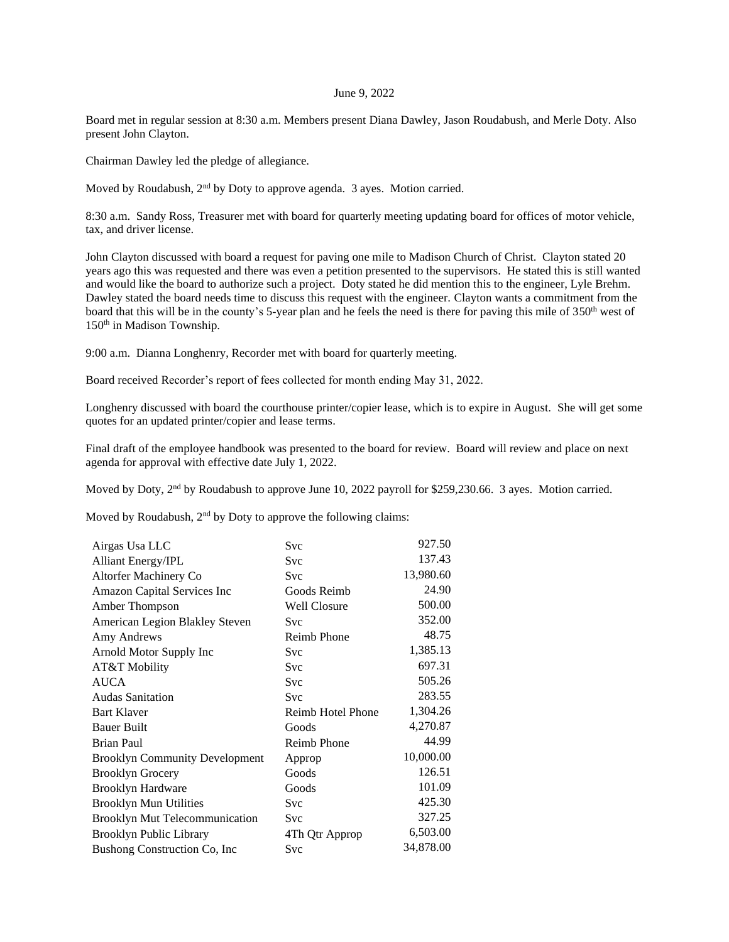## June 9, 2022

Board met in regular session at 8:30 a.m. Members present Diana Dawley, Jason Roudabush, and Merle Doty. Also present John Clayton.

Chairman Dawley led the pledge of allegiance.

Moved by Roudabush, 2<sup>nd</sup> by Doty to approve agenda. 3 ayes. Motion carried.

8:30 a.m. Sandy Ross, Treasurer met with board for quarterly meeting updating board for offices of motor vehicle, tax, and driver license.

John Clayton discussed with board a request for paving one mile to Madison Church of Christ. Clayton stated 20 years ago this was requested and there was even a petition presented to the supervisors. He stated this is still wanted and would like the board to authorize such a project. Doty stated he did mention this to the engineer, Lyle Brehm. Dawley stated the board needs time to discuss this request with the engineer. Clayton wants a commitment from the board that this will be in the county's 5-year plan and he feels the need is there for paving this mile of 350<sup>th</sup> west of 150th in Madison Township.

9:00 a.m. Dianna Longhenry, Recorder met with board for quarterly meeting.

Board received Recorder's report of fees collected for month ending May 31, 2022.

Longhenry discussed with board the courthouse printer/copier lease, which is to expire in August. She will get some quotes for an updated printer/copier and lease terms.

Final draft of the employee handbook was presented to the board for review. Board will review and place on next agenda for approval with effective date July 1, 2022.

Moved by Doty, 2<sup>nd</sup> by Roudabush to approve June 10, 2022 payroll for \$259,230.66. 3 ayes. Motion carried.

Moved by Roudabush,  $2<sup>nd</sup>$  by Doty to approve the following claims:

| Airgas Usa LLC                        | Svc                | 927.50    |
|---------------------------------------|--------------------|-----------|
| <b>Alliant Energy/IPL</b>             | Svc                | 137.43    |
| Altorfer Machinery Co                 | Svc                | 13,980.60 |
| Amazon Capital Services Inc           | Goods Reimb        | 24.90     |
| Amber Thompson                        | Well Closure       | 500.00    |
| American Legion Blakley Steven        | Svc                | 352.00    |
| Amy Andrews                           | <b>Reimb Phone</b> | 48.75     |
| Arnold Motor Supply Inc               | Svc                | 1,385.13  |
| AT&T Mobility                         | Svc                | 697.31    |
| <b>AUCA</b>                           | Svc                | 505.26    |
| <b>Audas Sanitation</b>               | Svc                | 283.55    |
| <b>Bart Klaver</b>                    | Reimb Hotel Phone  | 1,304.26  |
| <b>Bauer Built</b>                    | Goods              | 4,270.87  |
| <b>Brian Paul</b>                     | <b>Reimb Phone</b> | 44.99     |
| <b>Brooklyn Community Development</b> | Approp             | 10,000.00 |
| <b>Brooklyn Grocery</b>               | Goods              | 126.51    |
| <b>Brooklyn Hardware</b>              | Goods              | 101.09    |
| <b>Brooklyn Mun Utilities</b>         | Svc                | 425.30    |
| <b>Brooklyn Mut Telecommunication</b> | Svc                | 327.25    |
| Brooklyn Public Library               | 4Th Qtr Approp     | 6,503.00  |
| Bushong Construction Co, Inc          | Svc                | 34,878.00 |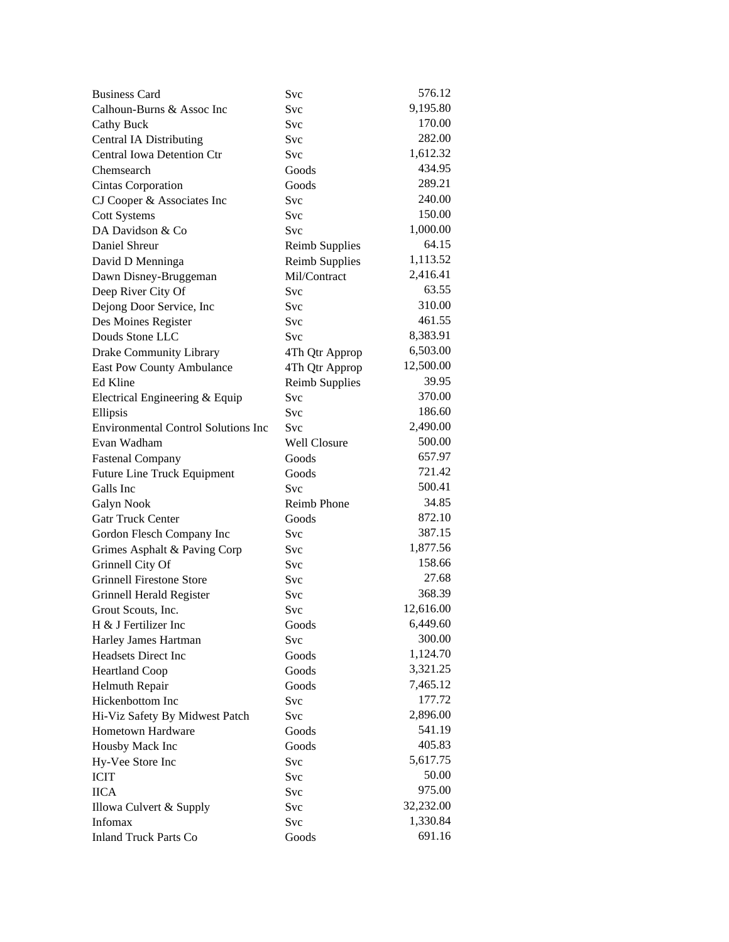| <b>Business Card</b>                       | Svc                   | 576.12    |
|--------------------------------------------|-----------------------|-----------|
| Calhoun-Burns & Assoc Inc                  | Svc                   | 9,195.80  |
| <b>Cathy Buck</b>                          | Svc                   | 170.00    |
| <b>Central IA Distributing</b>             | Svc                   | 282.00    |
| <b>Central Iowa Detention Ctr</b>          | Svc                   | 1,612.32  |
| Chemsearch                                 | Goods                 | 434.95    |
| Cintas Corporation                         | Goods                 | 289.21    |
| CJ Cooper & Associates Inc                 | Svc                   | 240.00    |
| <b>Cott Systems</b>                        | Svc                   | 150.00    |
| DA Davidson & Co                           | <b>Svc</b>            | 1,000.00  |
| Daniel Shreur                              | <b>Reimb Supplies</b> | 64.15     |
| David D Menninga                           | <b>Reimb Supplies</b> | 1,113.52  |
| Dawn Disney-Bruggeman                      | Mil/Contract          | 2,416.41  |
| Deep River City Of                         | Svc                   | 63.55     |
| Dejong Door Service, Inc                   | Svc                   | 310.00    |
| Des Moines Register                        | Svc                   | 461.55    |
| Douds Stone LLC                            | <b>Svc</b>            | 8,383.91  |
| <b>Drake Community Library</b>             | 4Th Qtr Approp        | 6,503.00  |
| East Pow County Ambulance                  | 4Th Qtr Approp        | 12,500.00 |
| Ed Kline                                   | <b>Reimb Supplies</b> | 39.95     |
| Electrical Engineering & Equip             | <b>Svc</b>            | 370.00    |
| Ellipsis                                   | Svc                   | 186.60    |
| <b>Environmental Control Solutions Inc</b> | <b>Svc</b>            | 2,490.00  |
| Evan Wadham                                | Well Closure          | 500.00    |
| <b>Fastenal Company</b>                    | Goods                 | 657.97    |
| <b>Future Line Truck Equipment</b>         | Goods                 | 721.42    |
| Galls Inc                                  | <b>Svc</b>            | 500.41    |
| <b>Galyn Nook</b>                          | <b>Reimb Phone</b>    | 34.85     |
| <b>Gatr Truck Center</b>                   | Goods                 | 872.10    |
| Gordon Flesch Company Inc                  | Svc                   | 387.15    |
| Grimes Asphalt & Paving Corp               | <b>Svc</b>            | 1,877.56  |
| Grinnell City Of                           | Svc                   | 158.66    |
| <b>Grinnell Firestone Store</b>            | Svc                   | 27.68     |
| Grinnell Herald Register                   | Svc                   | 368.39    |
| Grout Scouts, Inc.                         | Svc                   | 12,616.00 |
| H & J Fertilizer Inc                       | Goods                 | 6,449.60  |
| Harley James Hartman                       | Svc                   | 300.00    |
| Headsets Direct Inc                        | Goods                 | 1,124.70  |
| <b>Heartland Coop</b>                      | Goods                 | 3,321.25  |
| Helmuth Repair                             | Goods                 | 7,465.12  |
| Hickenbottom Inc                           | Svc                   | 177.72    |
|                                            |                       | 2,896.00  |
| Hi-Viz Safety By Midwest Patch             | Svc                   | 541.19    |
| Hometown Hardware                          | Goods                 | 405.83    |
| Housby Mack Inc                            | Goods                 | 5,617.75  |
| Hy-Vee Store Inc                           | Svc                   | 50.00     |
| <b>ICIT</b>                                | Svc                   | 975.00    |
| <b>IICA</b>                                | Svc                   | 32,232.00 |
| Illowa Culvert & Supply                    | Svc                   |           |
| <b>Infomax</b>                             | Svc                   | 1,330.84  |
| <b>Inland Truck Parts Co</b>               | Goods                 | 691.16    |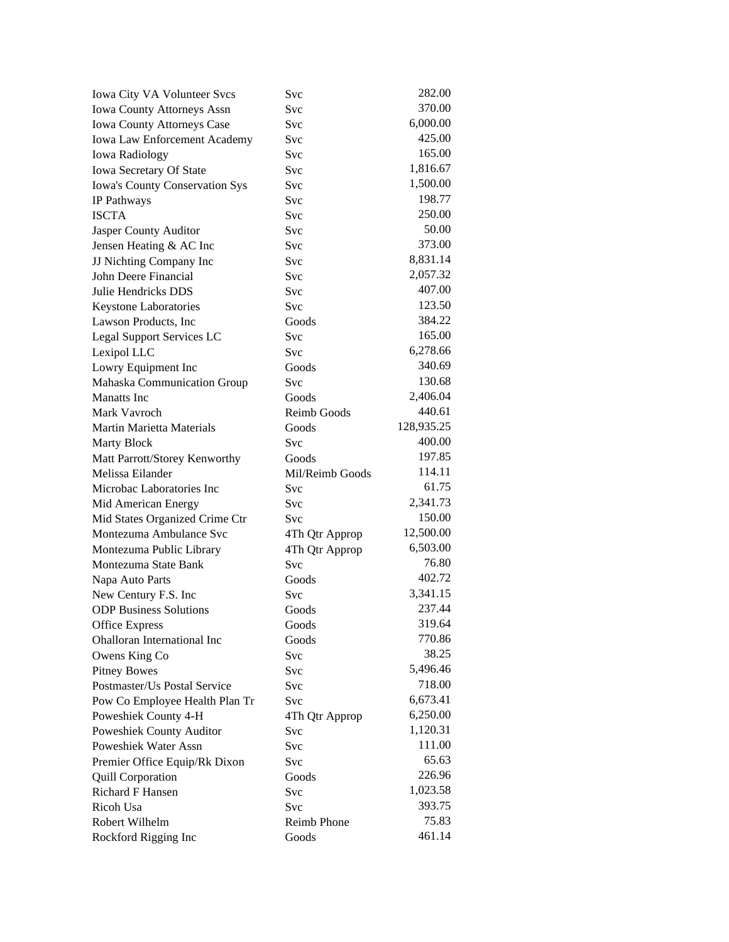| Iowa City VA Volunteer Svcs                         | Svc             | 282.00     |
|-----------------------------------------------------|-----------------|------------|
| <b>Iowa County Attorneys Assn</b>                   | <b>Svc</b>      | 370.00     |
| Iowa County Attorneys Case                          | <b>Svc</b>      | 6,000.00   |
| <b>Iowa Law Enforcement Academy</b>                 | Svc             | 425.00     |
| <b>Iowa Radiology</b>                               | <b>Svc</b>      | 165.00     |
| Iowa Secretary Of State                             | Svc             | 1,816.67   |
| <b>Iowa's County Conservation Sys</b>               | <b>Svc</b>      | 1,500.00   |
| IP Pathways                                         | Svc             | 198.77     |
| <b>ISCTA</b>                                        | <b>Svc</b>      | 250.00     |
| Jasper County Auditor                               | Svc             | 50.00      |
| Jensen Heating & AC Inc                             | Svc             | 373.00     |
| JJ Nichting Company Inc                             | Svc             | 8,831.14   |
| John Deere Financial                                | Svc             | 2,057.32   |
| Julie Hendricks DDS                                 | Svc             | 407.00     |
| Keystone Laboratories                               | Svc             | 123.50     |
| Lawson Products, Inc                                | Goods           | 384.22     |
| <b>Legal Support Services LC</b>                    | <b>Svc</b>      | 165.00     |
| Lexipol LLC                                         | Svc             | 6,278.66   |
| Lowry Equipment Inc                                 | Goods           | 340.69     |
| Mahaska Communication Group                         | Svc             | 130.68     |
| <b>Manatts</b> Inc                                  | Goods           | 2,406.04   |
| Mark Vavroch                                        | Reimb Goods     | 440.61     |
| Martin Marietta Materials                           | Goods           | 128,935.25 |
| <b>Marty Block</b>                                  | Svc             | 400.00     |
| Matt Parrott/Storey Kenworthy                       | Goods           | 197.85     |
| Melissa Eilander                                    | Mil/Reimb Goods | 114.11     |
| Microbac Laboratories Inc                           | Svc             | 61.75      |
| Mid American Energy                                 | Svc             | 2,341.73   |
| Mid States Organized Crime Ctr                      | Svc             | 150.00     |
| Montezuma Ambulance Svc                             | 4Th Qtr Approp  | 12,500.00  |
| Montezuma Public Library                            | 4Th Qtr Approp  | 6,503.00   |
| Montezuma State Bank                                | Svc             | 76.80      |
| Napa Auto Parts                                     | Goods           | 402.72     |
| New Century F.S. Inc                                | <b>Svc</b>      | 3,341.15   |
| <b>ODP Business Solutions</b>                       | Goods           | 237.44     |
|                                                     | Goods           | 319.64     |
| Office Express<br>Ohalloran International Inc       | Goods           | 770.86     |
|                                                     |                 | 38.25      |
| Owens King Co                                       | Svc             | 5,496.46   |
| <b>Pitney Bowes</b><br>Postmaster/Us Postal Service | <b>Svc</b>      | 718.00     |
|                                                     | Svc             | 6,673.41   |
| Pow Co Employee Health Plan Tr                      | Svc             | 6,250.00   |
| Poweshiek County 4-H                                | 4Th Qtr Approp  | 1,120.31   |
| Poweshiek County Auditor                            | Svc             | 111.00     |
| Poweshiek Water Assn                                | Svc             | 65.63      |
| Premier Office Equip/Rk Dixon                       | Svc             |            |
| <b>Quill Corporation</b>                            | Goods           | 226.96     |
| <b>Richard F Hansen</b>                             | Svc             | 1,023.58   |
| Ricoh Usa                                           | Svc             | 393.75     |
| Robert Wilhelm                                      | Reimb Phone     | 75.83      |
| Rockford Rigging Inc                                | Goods           | 461.14     |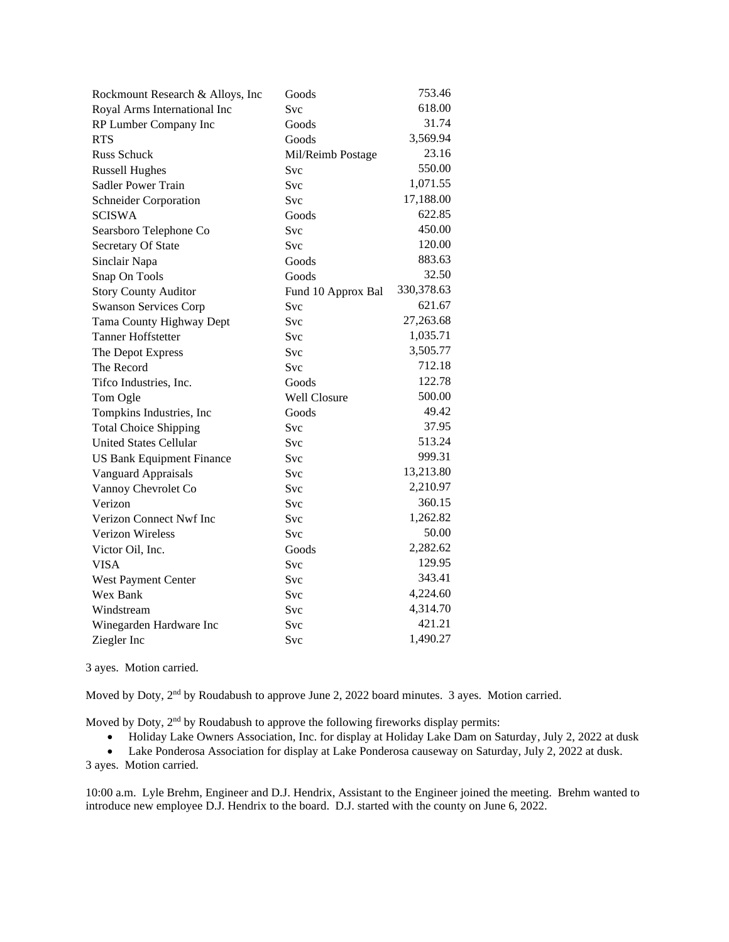| Rockmount Research & Alloys, Inc | Goods              | 753.46      |
|----------------------------------|--------------------|-------------|
| Royal Arms International Inc     | Svc                | 618.00      |
| RP Lumber Company Inc            | Goods              | 31.74       |
| <b>RTS</b>                       | Goods              | 3,569.94    |
| Russ Schuck                      | Mil/Reimb Postage  | 23.16       |
| <b>Russell Hughes</b>            | Svc                | 550.00      |
| Sadler Power Train               | Svc                | 1,071.55    |
| Schneider Corporation            | Svc                | 17,188.00   |
| <b>SCISWA</b>                    | Goods              | 622.85      |
| Searsboro Telephone Co           | Svc                | 450.00      |
| Secretary Of State               | Svc                | 120.00      |
| Sinclair Napa                    | Goods              | 883.63      |
| Snap On Tools                    | Goods              | 32.50       |
| <b>Story County Auditor</b>      | Fund 10 Approx Bal | 330, 378.63 |
| <b>Swanson Services Corp</b>     | Svc                | 621.67      |
| Tama County Highway Dept         | Svc                | 27,263.68   |
| <b>Tanner Hoffstetter</b>        | Svc                | 1,035.71    |
| The Depot Express                | Svc                | 3,505.77    |
| The Record                       | Svc                | 712.18      |
| Tifco Industries, Inc.           | Goods              | 122.78      |
| Tom Ogle                         | Well Closure       | 500.00      |
| Tompkins Industries, Inc.        | Goods              | 49.42       |
| <b>Total Choice Shipping</b>     | Svc                | 37.95       |
| <b>United States Cellular</b>    | Svc                | 513.24      |
| <b>US Bank Equipment Finance</b> | Svc                | 999.31      |
| Vanguard Appraisals              | Svc                | 13,213.80   |
| Vannoy Chevrolet Co              | Svc                | 2,210.97    |
| Verizon                          | Svc                | 360.15      |
| Verizon Connect Nwf Inc          | Svc                | 1,262.82    |
| <b>Verizon Wireless</b>          | Svc                | 50.00       |
| Victor Oil, Inc.                 | Goods              | 2,282.62    |
| <b>VISA</b>                      | Svc                | 129.95      |
| West Payment Center              | Svc                | 343.41      |
| Wex Bank                         | Svc                | 4,224.60    |
| Windstream                       | Svc                | 4,314.70    |
| Winegarden Hardware Inc          | Svc                | 421.21      |
| Ziegler Inc                      | Svc                | 1,490.27    |

3 ayes. Motion carried.

Moved by Doty, 2<sup>nd</sup> by Roudabush to approve June 2, 2022 board minutes. 3 ayes. Motion carried.

Moved by Doty, 2<sup>nd</sup> by Roudabush to approve the following fireworks display permits:

• Holiday Lake Owners Association, Inc. for display at Holiday Lake Dam on Saturday, July 2, 2022 at dusk

• Lake Ponderosa Association for display at Lake Ponderosa causeway on Saturday, July 2, 2022 at dusk. 3 ayes. Motion carried.

10:00 a.m. Lyle Brehm, Engineer and D.J. Hendrix, Assistant to the Engineer joined the meeting. Brehm wanted to introduce new employee D.J. Hendrix to the board. D.J. started with the county on June 6, 2022.